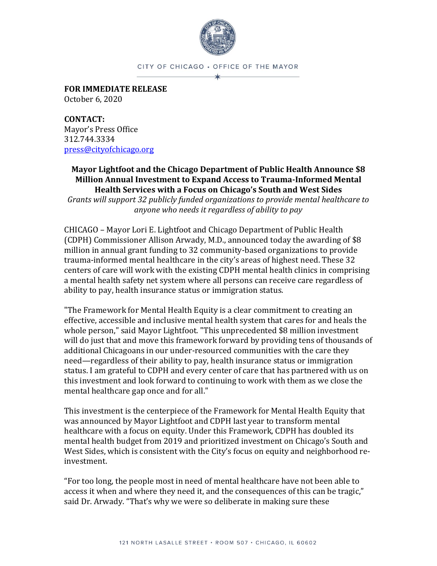

CITY OF CHICAGO . OFFICE OF THE MAYOR

**FOR IMMEDIATE RELEASE** October 6, 2020

**CONTACT:** Mayor's Press Office 312.744.3334 [press@cityofchicago.org](mailto:press@cityofchicago.org)

## **Mayor Lightfoot and the Chicago Department of Public Health Announce \$8 Million Annual Investment to Expand Access to Trauma-Informed Mental Health Services with a Focus on Chicago's South and West Sides**

*Grants will support 32 publicly funded organizations to provide mental healthcare to anyone who needs it regardless of ability to pay*

CHICAGO – Mayor Lori E. Lightfoot and Chicago Department of Public Health (CDPH) Commissioner Allison Arwady, M.D., announced today the awarding of \$8 million in annual grant funding to 32 community-based organizations to provide trauma-informed mental healthcare in the city's areas of highest need. These 32 centers of care will work with the existing CDPH mental health clinics in comprising a mental health safety net system where all persons can receive care regardless of ability to pay, health insurance status or immigration status.

"The Framework for Mental Health Equity is a clear commitment to creating an effective, accessible and inclusive mental health system that cares for and heals the whole person," said Mayor Lightfoot. "This unprecedented \$8 million investment will do just that and move this framework forward by providing tens of thousands of additional Chicagoans in our under-resourced communities with the care they need—regardless of their ability to pay, health insurance status or immigration status. I am grateful to CDPH and every center of care that has partnered with us on this investment and look forward to continuing to work with them as we close the mental healthcare gap once and for all."

This investment is the centerpiece of the Framework for Mental Health Equity that was announced by Mayor Lightfoot and CDPH last year to transform mental healthcare with a focus on equity. Under this Framework, CDPH has doubled its mental health budget from 2019 and prioritized investment on Chicago's South and West Sides, which is consistent with the City's focus on equity and neighborhood reinvestment.

"For too long, the people most in need of mental healthcare have not been able to access it when and where they need it, and the consequences of this can be tragic," said Dr. Arwady. "That's why we were so deliberate in making sure these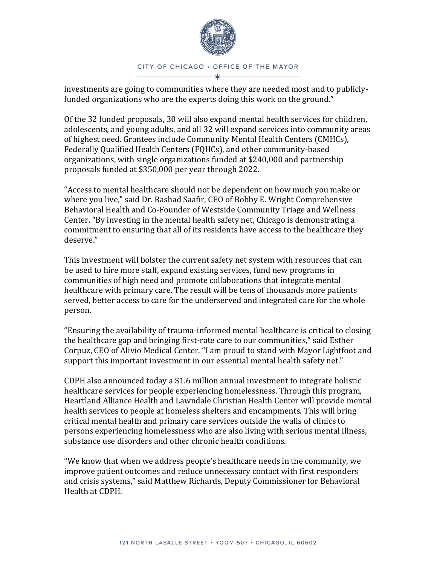

investments are going to communities where they are needed most and to publiclyfunded organizations who are the experts doing this work on the ground."

Of the 32 funded proposals, 30 will also expand mental health services for children, adolescents, and young adults, and all 32 will expand services into community areas of highest need. Grantees include Community Mental Health Centers (CMHCs), Federally Qualified Health Centers (FQHCs), and other community-based organizations, with single organizations funded at \$240,000 and partnership proposals funded at \$350,000 per year through 2022.

"Access to mental healthcare should not be dependent on how much you make or where you live," said Dr. Rashad Saafir, CEO of Bobby E. Wright Comprehensive Behavioral Health and Co-Founder of Westside Community Triage and Wellness Center. "By investing in the mental health safety net, Chicago is demonstrating a commitment to ensuring that all of its residents have access to the healthcare they deserve."

This investment will bolster the current safety net system with resources that can be used to hire more staff, expand existing services, fund new programs in communities of high need and promote collaborations that integrate mental healthcare with primary care. The result will be tens of thousands more patients served, better access to care for the underserved and integrated care for the whole person.

"Ensuring the availability of trauma-informed mental healthcare is critical to closing the healthcare gap and bringing first-rate care to our communities," said Esther Corpuz, CEO of Alivio Medical Center. "I am proud to stand with Mayor Lightfoot and support this important investment in our essential mental health safety net."

CDPH also announced today a \$1.6 million annual investment to integrate holistic healthcare services for people experiencing homelessness. Through this program, Heartland Alliance Health and Lawndale Christian Health Center will provide mental health services to people at homeless shelters and encampments. This will bring critical mental health and primary care services outside the walls of clinics to persons experiencing homelessness who are also living with serious mental illness, substance use disorders and other chronic health conditions.

"We know that when we address people's healthcare needs in the community, we improve patient outcomes and reduce unnecessary contact with first responders and crisis systems," said Matthew Richards, Deputy Commissioner for Behavioral Health at CDPH.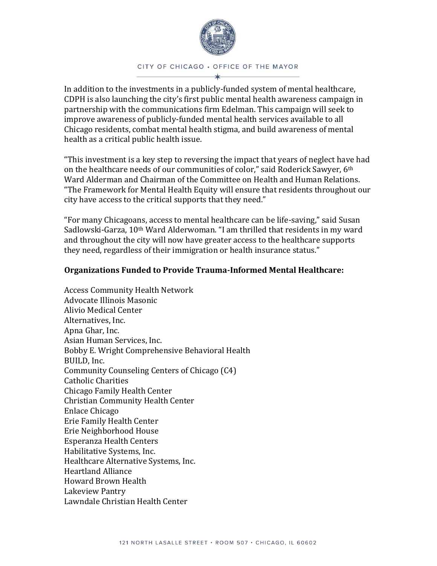

## CITY OF CHICAGO . OFFICE OF THE MAYOR

In addition to the investments in a publicly-funded system of mental healthcare, CDPH is also launching the city's first public mental health awareness campaign in partnership with the communications firm Edelman. This campaign will seek to improve awareness of publicly-funded mental health services available to all Chicago residents, combat mental health stigma, and build awareness of mental health as a critical public health issue.

"This investment is a key step to reversing the impact that years of neglect have had on the healthcare needs of our communities of color," said Roderick Sawyer, 6<sup>th</sup> Ward Alderman and Chairman of the Committee on Health and Human Relations. "The Framework for Mental Health Equity will ensure that residents throughout our city have access to the critical supports that they need."

"For many Chicagoans, access to mental healthcare can be life-saving," said Susan Sadlowski-Garza, 10th Ward Alderwoman. "I am thrilled that residents in my ward and throughout the city will now have greater access to the healthcare supports they need, regardless of their immigration or health insurance status."

## **Organizations Funded to Provide Trauma-Informed Mental Healthcare:**

Access Community Health Network Advocate Illinois Masonic Alivio Medical Center Alternatives, Inc. Apna Ghar, Inc. Asian Human Services, Inc. Bobby E. Wright Comprehensive Behavioral Health BUILD, Inc. Community Counseling Centers of Chicago (C4) Catholic Charities Chicago Family Health Center Christian Community Health Center Enlace Chicago Erie Family Health Center Erie Neighborhood House Esperanza Health Centers Habilitative Systems, Inc. Healthcare Alternative Systems, Inc. Heartland Alliance Howard Brown Health Lakeview Pantry Lawndale Christian Health Center